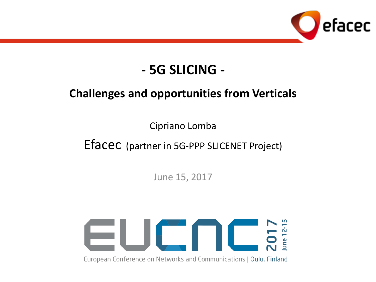

# **- 5G SLICING -**

### **Challenges and opportunities from Verticals**

Cipriano Lomba

Efacec (partner in 5G-PPP SLICENET Project)

June 15, 2017



European Conference on Networks and Communications | Oulu, Finland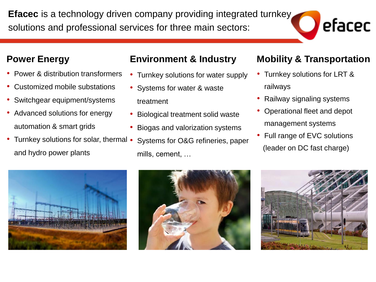**Efacec** is a technology driven company providing integrated turnkey solutions and professional services for three main sectors:

#### **Power Energy**

- Power & distribution transformers
- Customized mobile substations
- Switchgear equipment/systems
- Advanced solutions for energy automation & smart grids
- Turnkey solutions for solar, thermal and hydro power plants

#### **Environment & Industry**

- Turnkey solutions for water supply
- Systems for water & waste treatment
- Biological treatment solid waste
- Biogas and valorization systems
- Systems for O&G refineries, paper mills, cement, …

#### **Mobility & Transportation**

efacec

- Turnkey solutions for LRT & railways
- Railway signaling systems
- Operational fleet and depot management systems
- Full range of EVC solutions (leader on DC fast charge)





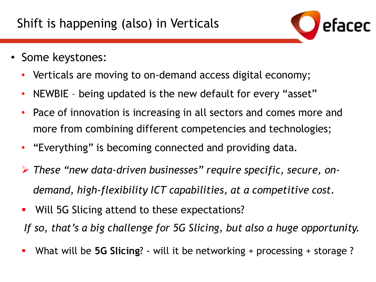

- Some keystones:
	- Verticals are moving to on-demand access digital economy;
	- NEWBIE being updated is the new default for every "asset"
	- Pace of innovation is increasing in all sectors and comes more and more from combining different competencies and technologies;
	- "Everything" is becoming connected and providing data.
	- ➢ *These "new data-driven businesses" require specific, secure, ondemand, high-flexibility ICT capabilities, at a competitive cost.*
	- Will 5G Slicing attend to these expectations? *If so, that's a big challenge for 5G Slicing, but also a huge opportunity.*
	- What will be **5G Slicing**? will it be networking + processing + storage ?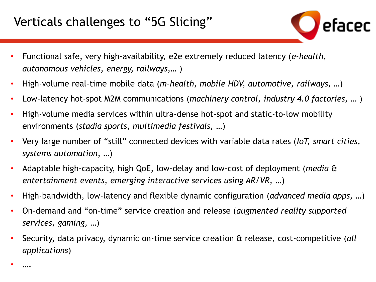### Verticals challenges to "5G Slicing"

- Functional safe, very high-availability, e2e extremely reduced latency (*e-health, autonomous vehicles, energy, railways,…* )
- High-volume real-time mobile data (*m-health, mobile HDV, automotive, railways,* …)
- Low-latency hot-spot M2M communications (*machinery control, industry 4.0 factories,* … )
- High-volume media services within ultra-dense hot-spot and static-to-low mobility environments (*stadia sports, multimedia festivals,* …)
- Very large number of "still" connected devices with variable data rates (*IoT, smart cities, systems automation*, …)
- Adaptable high-capacity, high QoE, low-delay and low-cost of deployment (*media & entertainment events, emerging interactive services using AR/VR,* …)
- High-bandwidth, low-latency and flexible dynamic configuration (*advanced media apps,* …)
- On-demand and "on-time" service creation and release (*augmented reality supported services, gaming,* …)
- Security, data privacy, dynamic on-time service creation & release, cost-competitive (*all applications*)

• ….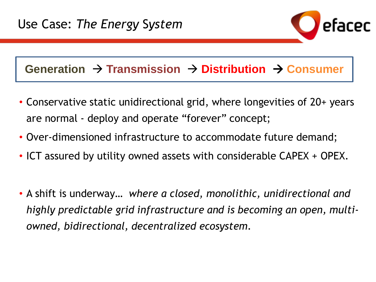### Generation → Transmission → Distribution → Consumer

- Conservative static unidirectional grid, where longevities of 20+ years are normal - deploy and operate "forever" concept;
- Over-dimensioned infrastructure to accommodate future demand;
- ICT assured by utility owned assets with considerable CAPEX + OPEX.
- A shift is underway… *where a closed, monolithic, unidirectional and highly predictable grid infrastructure and is becoming an open, multiowned, bidirectional, decentralized ecosystem.*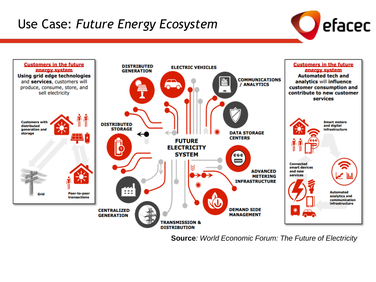# Use Case: *Future Energy Ecosystem*





**Source***: World Economic Forum: The Future of Electricity*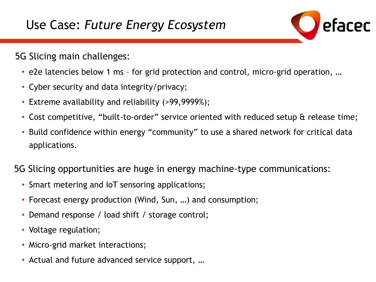

### 5G Slicing main challenges:

- e2e latencies below 1 ms for grid protection and control, micro-grid operation, …
- Cyber security and data integrity/privacy;
- Extreme availability and reliability (>99,9999%);
- Cost competitive, "built-to-order" service oriented with reduced setup & release time;
- Build confidence within energy "community" to use a shared network for critical data applications.

5G Slicing opportunities are huge in energy machine-type communications:

- Smart metering and IoT sensoring applications;
- Forecast energy production (Wind, Sun, …) and consumption;
- Demand response / load shift / storage control;
- Voltage regulation;
- Micro-grid market interactions;
- Actual and future advanced service support, …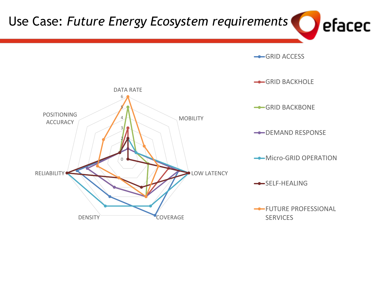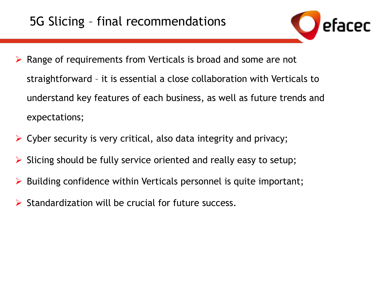

- ➢ Range of requirements from Verticals is broad and some are not straightforward – it is essential a close collaboration with Verticals to understand key features of each business, as well as future trends and expectations;
- $\triangleright$  Cyber security is very critical, also data integrity and privacy;
- Slicing should be fully service oriented and really easy to setup;
- $\triangleright$  Building confidence within Verticals personnel is quite important;
- ➢ Standardization will be crucial for future success.